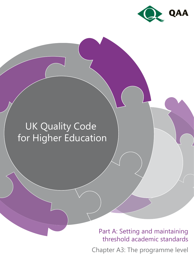

# UK Quality Code for Higher Education

Part A: Setting and maintaining threshold academic standards

Chapter A3: The programme level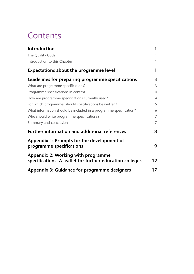# **Contents**

| <b>Introduction</b>                                                                            | 1              |
|------------------------------------------------------------------------------------------------|----------------|
| The Quality Code                                                                               | 1              |
| Introduction to this Chapter                                                                   | 1              |
| <b>Expectations about the programme level</b>                                                  | 1              |
| <b>Guidelines for preparing programme specifications</b>                                       | 3              |
| What are programme specifications?                                                             | $\overline{3}$ |
| Programme specifications in context                                                            | $\overline{4}$ |
| How are programme specifications currently used?                                               | $\overline{4}$ |
| For which programmes should specifications be written?                                         | 5              |
| What information should be included in a programme specification?                              | 6              |
| Who should write programme specifications?                                                     | $\overline{7}$ |
| Summary and conclusion                                                                         | $\overline{7}$ |
| <b>Further information and additional references</b>                                           | 8              |
| Appendix 1: Prompts for the development of<br>programme specifications                         | 9              |
| Appendix 2: Working with programme<br>specifications: A leaflet for further education colleges | 12             |
| Appendix 3: Guidance for programme designers                                                   | 17             |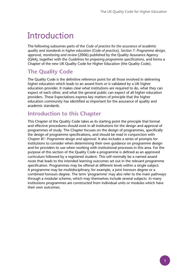# Introduction

The following subsumes parts of the *Code of practice for the assurance of academic quality and standards in higher education (Code of practice), Section 7: Programme design, approval, monitoring and review* (2006) published by the Quality Assurance Agency (QAA), together with the *Guidelines for preparing programme specifications*, and forms a Chapter of the new UK Quality Code for Higher Education (the Quality Code).

# **The Quality Code**

The Quality Code is the definitive reference point for all those involved in delivering higher education which leads to an award from or is validated by a UK higher education provider. It makes clear what institutions are required to do, what they can expect of each other, and what the general public can expect of all higher education providers. These Expectations express key matters of principle that the higher education community has identified as important for the assurance of quality and academic standards.

## **Introduction to this Chapter**

This Chapter of the Quality Code takes as its starting point the principle that formal and effective procedures should exist in all institutions for the design and approval of programmes of study. The Chapter focuses on the design of programmes, specifically the design of programme specifications, and should be read in conjunction with *Chapter B1: Programme design and approval*. It also includes a series of prompts for institutions to consider when determining their own guidance on programme design and for providers to use when working with institutional processes in this area. For the purpose of this section of the Quality Code a programme is defined as an approved curriculum followed by a registered student. This will normally be a named award route that leads to the intended learning outcomes set out in the relevant programme specification. Programmes may be offered at different levels within a single subject. A programme may be multidisciplinary, for example, a joint honours degree or a combined honours degree. The term 'programme' may also refer to the main pathways through a modular scheme, which may themselves include several subjects. In many institutions programmes are constructed from individual units or modules which have their own outcomes.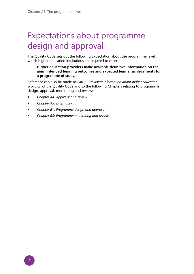# Expectations about programme design and approval

The Quality Code sets out the following Expectation about the programme level, which higher education institutions are required to meet.

**Higher education providers make available definitive information on the aims, intended learning outcomes and expected learner achievements for a programme of study.**

Reference can also be made to *Part C: Providing information about higher education provision* of the Quality Code and to the following Chapters relating to programme design, approval, monitoring and review:

- *Chapter A4: Approval and review*
- *Chapter A5: Externality*
- *Chapter B1: Programme design and approval*
- *Chapter B8: Programme monitoring and review*.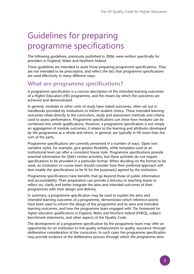# Guidelines for preparing programme specifications

The following guidelines, previously published in 2006, were written specifically for providers in England, Wales and Northern Ireland.

These guidelines are intended to assist those preparing programme specifications. They are not intended to be prescriptive, and reflect the fact that programme specifications are used effectively in many different ways.

## **What are programme specifications?**

A programme specification is a concise description of the intended learning outcomes of a Higher Education (HE) programme, and the means by which the outcomes are achieved and demonstrated.

In general, modules or other units of study have stated outcomes, often set out in handbooks provided by institutions to inform student choice. These intended learning outcomes relate directly to the curriculum, study and assessment methods and criteria used to assess performance. Programme specifications can show how modules can be combined into whole qualifications. However, a programme specification is not simply an aggregation of module outcomes; it relates to the learning and attributes developed by the programme as a whole and which, in general, are typically in HE more than the sum of the parts.

Programme specifications are currently presented in a number of ways. Open text narrative styles, for example, give greater flexibility, while templates used at an institutional level can offer a consistent house style. Programme specifications provide essential information for QAA's review activities, but these activities do not require specifications to be provided in a particular format. When deciding on the format to be used, an institution or course team should consider how their preferred approach will best enable the specifications to be fit for the purpose(s) agreed by the institution.

Programme specifications have benefits that go beyond those of public information and accountability. Their preparation can provide a stimulus to teaching teams to reflect on, clarify and better integrate the aims and intended outcomes of their programmes with their design and delivery.

In summary, a programme specification may be used to explain the aims and intended learning outcomes of a programme, demonstrate which reference points have been used to inform the design of the programme and its aims and intended learning outcomes, and how the programme team engaged with *The framework for higher education qualifications in England, Wales and Northern Ireland* (FHEQ), subject benchmark statements, and other aspects of the Quality Code.

The development of a programme specification by the programme team may offer an opportunity for an institution to link quality enhancement to quality assurance through deliberative consideration of the curriculum. In such cases the programme specification may provide evidence of the deliberative process through which the programme aims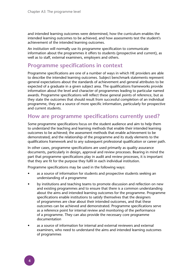and intended learning outcomes were determined, how the curriculum enables the intended learning outcomes to be achieved, and how assessments test the student's achievement of the intended learning outcomes.

An institution will normally use its programme specification to communicate information about the programmes it offers to students (prospective and current), as well as to staff, external examiners, employers and others.

## **Programme specifications in context**

Programme specifications are one of a number of ways in which HE providers are able to describe the intended learning outcomes. Subject benchmark statements represent general expectations about the standards of achievement and general attributes to be expected of a graduate in a given subject area. The qualifications frameworks provide information about the level and character of programmes leading to particular named awards. Programme specifications will reflect these general points of reference, but as they state the outcomes that should result from successful completion of an individual programme, they are a source of more specific information, particularly for prospective and current students.

## **How are programme specifications currently used?**

Some programme specifications focus on the student audience and aim to help them to understand the teaching and learning methods that enable their intended learning outcomes to be achieved; the assessment methods that enable achievement to be demonstrated; and the relationship of the programme and its study elements to the qualifications framework and to any subsequent professional qualification or career path.

In other cases, programme specifications are used primarily as quality assurance documents, particularly in design, approval and review processes. Bearing in mind the part that programme specifications play in audit and review processes, it is important that they are fit for the purpose they fulfil in each individual institution.

Programme specifications may be used in the following ways:

- as a source of information for students and prospective students seeking an understanding of a programme
- by institutions and teaching teams to promote discussion and reflection on new and existing programmes and to ensure that there is a common understanding about the aims and intended learning outcomes for the programme. Programme specifications enable institutions to satisfy themselves that the designers of programmes are clear about their intended outcomes, and that these outcomes can be achieved and demonstrated. Programme specifications serve as a reference point for internal review and monitoring of the performance of a programme. They can also provide the necessary core programme documentation
- as a source of information for internal and external reviewers and external examiners, who need to understand the aims and intended learning outcomes of programmes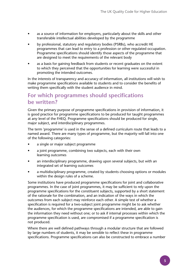- as a source of information for employers, particularly about the skills and other transferable intellectual abilities developed by the programme
- by professional, statutory and regulatory bodies (PSRBs), who accredit HE programmes that can lead to entry to a profession or other regulated occupation. Programme specifications should identify those aspects of the programme that are designed to meet the requirements of the relevant body
- as a basis for gaining feedback from students or recent graduates on the extent to which they perceived that the opportunities for learning were successful in promoting the intended outcomes.

In the interests of transparency and accuracy of information, all institutions will wish to make programme specifications available to students and to consider the benefits of writing them specifically with the student audience in mind.

## **For which programmes should specifications be written?**

Given the primary purpose of programme specifications in provision of information, it is good practice for programme specifications to be produced for taught programmes at any level of the FHEQ. Programme specifications should be produced for single, major subject, and interdisciplinary programmes.

The term 'programme' is used in the sense of a defined curriculum route that leads to a named award. There are many types of programme, but the majority will fall into one of the following categories:

- a single or major subject programme
- a joint programme, combining two subjects, each with their own learning outcomes
- an interdisciplinary programme, drawing upon several subjects, but with an integrated set of learning outcomes
- a multidisciplinary programme, created by students choosing options or modules within the design rules of a scheme.

Some institutions have produced programme specifications for joint and collaborative programmes. In the case of joint programmes, it may be sufficient to rely upon the programme specifications for the constituent subjects, supported by a short statement of the rationale for the combination, and an indication of the ways in which the outcomes from each subject may reinforce each other. A simple test of whether a specification is required for a two-subject joint programme might be to ask whether the audiences, for which the programme specifications are intended, are able to gain the information they need without one; or to ask if internal processes within which the programme specification is used, are compromised if a programme specification is not produced.

Where there are well defined pathways through a modular structure that are followed by large numbers of students, it may be sensible to reflect these in programme specifications. Programme specifications can also be constructed to embrace a number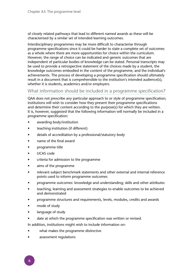of closely related pathways that lead to different named awards as these will be characterised by a similar set of intended learning outcomes.

Interdisciplinary programmes may be more difficult to characterise through programme specifications since it could be harder to state a complete set of outcomes as a whole where there are more opportunities for choice within the curriculum. However, the range of choice can be indicated and generic outcomes that are independent of particular bodies of knowledge can be stated. Personal transcripts may be used to provide a retrospective statement of the choices made by a student, the knowledge outcomes embodied in the content of the programme, and the individual's achievements. The process of developing a programme specification should ultimately result in a document that is comprehensible to the institution's intended audience(s), whether it is students, academics and/or employers.

### What information should be included in a programme specification?

QAA does not prescribe any particular approach to or style of programme specification; institutions will wish to consider how they present their programme specifications and determine their content according to the purpose(s) for which they are written. It is, however, suggested that the following information will normally be included in a programme specification:

- awarding body/institution
- teaching institution (if different)
- details of accreditation by a professional/statutory body
- name of the final award
- programme title
- UCAS code
- criteria for admission to the programme
- aims of the programme
- relevant subject benchmark statements and other external and internal reference points used to inform programme outcomes
- programme outcomes: knowledge and understanding; skills and other attributes
- teaching, learning and assessment strategies to enable outcomes to be achieved and demonstrated
- programme structures and requirements, levels, modules, credits and awards
- mode of study
- language of study
- date at which the programme specification was written or revised.

In addition, institutions might wish to include information on:

- what makes the programme distinctive
- assessment regulations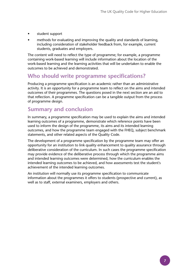- student support
- methods for evaluating and improving the quality and standards of learning, including consideration of stakeholder feedback from, for example, current students, graduates and employers.

The content will need to reflect the type of programme; for example, a programme containing work-based learning will include information about the location of the work-based learning and the learning activities that will be undertaken to enable the outcomes to be achieved and demonstrated.

## **Who should write programme specifications?**

Producing a programme specification is an academic rather than an administrative activity. It is an opportunity for a programme team to reflect on the aims and intended outcomes of their programmes. The questions posed in the next section are an aid to that reflection. A programme specification can be a tangible output from the process of programme design.

## **Summary and conclusion**

In summary, a programme specification may be used to explain the aims and intended learning outcomes of a programme, demonstrate which reference points have been used to inform the design of the programme, its aims and its intended learning outcomes, and how the programme team engaged with the FHEQ, subject benchmark statements, and other related aspects of the Quality Code.

The development of a programme specification by the programme team may offer an opportunity for an institution to link quality enhancement to quality assurance through deliberative consideration of the curriculum. In such cases the programme specification may provide evidence of the deliberative process through which the programme aims and intended learning outcomes were determined, how the curriculum enables the intended learning outcomes to be achieved, and how assessments test the student's achievement of the intended learning outcomes.

An institution will normally use its programme specification to communicate information about the programmes it offers to students (prospective and current), as well as to staff, external examiners, employers and others.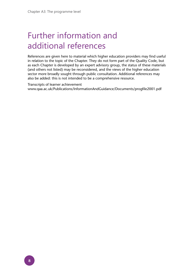# Further information and additional references

References are given here to material which higher education providers may find useful in relation to the topic of the Chapter. They do not form part of the Quality Code, but as each Chapter is developed by an expert advisory group, the status of these materials (and others not listed) may be reconsidered, and the views of the higher education sector more broadly sought through public consultation. Additional references may also be added: this is not intended to be a comprehensive resource.

Transcripts of learner achievement www.qaa.ac.uk/Publications/InformationAndGuidance/Documents/progfile2001.pdf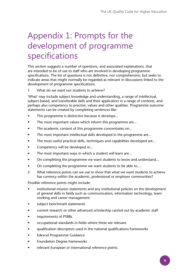# Appendix 1: Prompts for the development of programme specifications

This section suggests a number of questions, and associated explanations, that are intended to be of use to staff who are involved in developing programme specifications. The list of questions is not definitive, nor comprehensive, but seeks to indicate areas that might normally be regarded as relevant in discussions linked to the development of programme specifications.

1 What do we want our students to achieve?

'What' may include subject knowledge and understanding, a range of intellectual, subject-based, and transferable skills and their application in a range of contexts, and perhaps also competency to practise, values and other qualities. Programme outcome statements can be created by completing sentences like:

- This programme is distinctive because it develops...
- The most important values which inform this programme are...
- The academic content of this programme concentrates on...
- The most important intellectual skills developed in the programme are...
- The most useful practical skills, techniques and capabilities developed are...
- Competency will be developed in...
- The most important ways in which a student will learn are...
- On completing the programme we want students to know and understand...
- On completing the programme we want students to be able to....
- 2 What reference points can we use to show that what we want students to achieve has currency within the academic, professional or employer communities?

Possible reference points might include:

- institutional mission statements and any institutional policies on the development of general skills in fields such as communication, information technology, team working and career management
- subject benchmark statements
- current research or other advanced scholarship carried out by academic staff
- requirements of PSRBs
- occupational standards in fields where these are relevant
- qualification descriptors used in the national qualifications frameworks
- Edexcel Programme Guidance
- Foundation Degree frameworks
- relevant European or international reference points.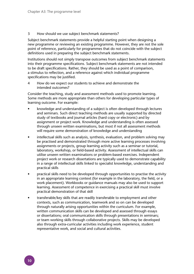#### 3 How should we use subject benchmark statements?

Subject benchmark statements provide a helpful starting point when designing a new programme or reviewing an existing programme. However, they are not the sole point of reference, particularly for programmes that do not coincide with the subject definitions used in preparing the subject benchmark statements.

Institutions should not simply transpose outcomes from subject benchmark statements into their programme specifications. Subject benchmark statements are not intended to be draft specifications. Rather, they should be used as a point of comparison, a stimulus to reflection, and a reference against which individual programme specifications may be justified.

4 How do we expect our students to achieve and demonstrate the intended outcomes?

Consider the teaching, study and assessment methods used to promote learning. Some methods are more appropriate than others for developing particular types of learning outcome. For example:

- knowledge and understanding of a subject is often developed through lectures and seminars. Such direct teaching methods are usually supported by directed study of textbooks and journal articles (hard copy or electronic) and by assignment or project work. Knowledge and understanding is often assessed through unseen written examinations, but most if not all assessment methods will require some demonstration of knowledge and understanding
- intellectual skills such as analysis, synthesis, evaluation, and problem solving may be practised and demonstrated through more active learning processes involving assignments or projects, group learning activity such as a seminar or tutorial, laboratory, workshop, or field-based activity. Assessment of intellectual skills can utilise unseen written examinations or problem-based exercises. Independent project work or research dissertations are typically used to demonstrate capability in a range of intellectual skills linked to specialist knowledge, understanding and practical skills
- practical skills need to be developed through opportunities to practise the activity in an appropriate learning context (for example in the laboratory, the field, or a work placement). Workbooks or guidance manuals may also be used to support learning. Assessment of competence in exercising a practical skill must involve practical demonstration of that skill
- transferable/key skills that are readily transferable to employment and other contexts, such as communication, teamwork and so on can be developed through naturally arising opportunities within the curriculum. For example, written communication skills can be developed and assessed through essays or dissertations; oral communication skills through presentations in seminars; or team working skills through collaborative projects. Skills may be developed also through extra-curricular activities including work experience, student representative work, and social and cultural activities.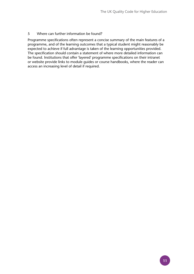#### 5 Where can further information be found?

Programme specifications often represent a concise summary of the main features of a programme, and of the learning outcomes that a typical student might reasonably be expected to achieve if full advantage is taken of the learning opportunities provided. The specification should contain a statement of where more detailed information can be found. Institutions that offer 'layered' programme specifications on their intranet or website provide links to module guides or course handbooks, where the reader can access an increasing level of detail if required.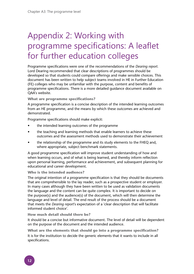# Appendix 2: Working with programme specifications: A leaflet for further education colleges

Programme specifications were one of the recommendations of the *Dearing report.*  Lord Dearing recommended that clear descriptions of programmes should be developed so that students could compare offerings and make sensible choices. This document has been written to help subject teams involved in HE in Further Education (FE) colleges who may be unfamiliar with the purpose, content and benefits of programme specifications. There is a more detailed guidance document available on QAA's website.

#### **What are programme specifications?**

A programme specification is a concise description of the intended learning outcomes from an HE programme, and the means by which these outcomes are achieved and demonstrated.

Programme specifications should make explicit:

- the intended learning outcomes of the programme
- the teaching and learning methods that enable learners to achieve these outcomes and the assessment methods used to demonstrate their achievement
- the relationship of the programme and its study elements to the FHEQ and, where appropriate, subject benchmark statements.

A good programme specification will improve student understanding of how and when learning occurs, and of what is being learned, and thereby inform reflection upon personal learning, performance and achievement, and subsequent planning for educational and career development.

#### **Who is the intended audience?**

The original intention of a programme specification is that they should be documents that are comprehensible to the lay reader, such as a prospective student or employer. In many cases although they have been written to be used as validation documents the language and the content can be quite complex. It is important to decide on the purpose(s) and the audience(s) of the document, which will then determine the language and level of detail. The end result of the process should be a document that meets the *Dearing report*'s expectation of a 'clear description that will facilitate informed student choice'.

#### **How much detail should there be?**

It should be a concise but informative document. The level of detail will be dependent on the purpose of the document and the intended audience.

**What are the elements that should go into a programme specification?** It is for the institution to decide the generic elements that it wants to include in all specifications.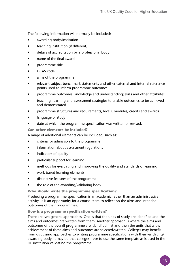The following information will normally be included:

- awarding body/institution
- teaching institution (if different)
- details of accreditation by a professional body
- name of the final award
- programme title
- UCAS code
- aims of the programme
- relevant subject benchmark statements and other external and internal reference points used to inform programme outcomes
- programme outcomes: knowledge and understanding; skills and other attributes
- teaching, learning and assessment strategies to enable outcomes to be achieved and demonstrated
- programme structures and requirements, levels, modules, credits and awards
- language of study
- date at which the programme specification was written or revised.

**Can other elements be included?**

A range of additional elements can be included, such as:

- criteria for admission to the programme
- information about assessment regulations
- indicators of quality
- particular support for learning
- methods for evaluating and improving the quality and standards of learning
- work-based learning elements
- distinctive features of the programme
- the role of the awarding/validating body.

**Who should write the programme specification?**

Producing a programme specification is an academic rather than an administrative activity. It is an opportunity for a course team to reflect on the aims and intended outcomes of their programmes.

#### **How is a programme specification written?**

There are two general approaches. One is that the units of study are identified and the aims and outcomes are written from them. Another approach is where the aims and outcomes of the overall programme are identified first and then the units that allow achievement of these aims and outcomes are selected/written. Colleges may benefit from discussing approaches to writing programme specifications with their validating/ awarding body. It may be that colleges have to use the same template as is used in the HE institution validating the programme.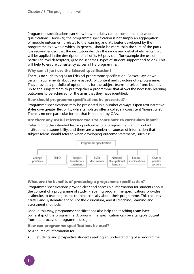Programme specifications can show how modules can be combined into whole qualifications. However, the programme specification is not simply an aggregation of module outcomes. It relates to the learning and attributes developed by the programme as a whole which, in general, should be more than the sum of the parts. It is recommended that the institution decides the range and detail of elements that will be applied in the description of all of its HE provision (for example the use of particular level descriptors, grading schemes, types of student support and so on). This will help to ensure consistency across all HE programmes.

**Why can't I just use the Edexcel specification?**

There is no such thing as an Edexcel programme specification. Edexcel lays down certain requirements about some aspects of content and structure of a programme. They provide a portfolio of option units for the subject teams to select from, but it is up to the subject team to put together a programme that allows the necessary learning outcomes to be achieved for the aims that they have identified.

**How should programme specifications be presented?**

Programme specifications may be presented in a number of ways. Open text narrative styles give greater flexibility, while templates offer a college a consistent 'house style'. There is no one particular format that is required by QAA.

**Are there any useful reference tools to contribute to curriculum input?**

Determining the intended learning outcomes of a programme is an important institutional responsibility, and there are a number of sources of information that subject teams should refer to when developing outcome statements, such as:



#### **What are the benefits of producing a programme specification?**

Programme specifications provide clear and accessible information for students about the content of a programme of study. Preparing programme specifications provides a stimulus to teaching teams to think critically about their programme. This requires careful and systematic analysis of the curriculum, and its teaching, learning and assessment methods.

Used in this way, programme specifications also help the teaching team have ownership of the programme. A programme specification can be a tangible output from the process of programme design.

**How can programme specifications be used?**

As a source of information for:

• students and prospective students seeking an understanding of a programme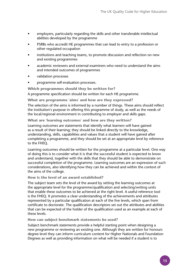- employers, particularly regarding the skills and other transferable intellectual abilities developed by the programme
- PSRBs who accredit HE programmes that can lead to entry to a profession or other regulated occupation
- institutions and teaching teams, to promote discussion and reflection on new and existing programmes
- academic reviewers and external examiners who need to understand the aims and intended outcomes of programmes
- validation processes
- programme self-evaluation processes.

**Which programmes should they be written for?**

A programme specification should be written for each HE programme.

**What are programme 'aims' and how are they expressed?**

The selection of the aims is informed by a number of things. These aims should reflect the institution's purpose in offering this programme of study, as well as the needs of the local/regional environment in contributing to employer and skills gaps.

**What are 'learning outcomes' and how are they written?**

Learning outcomes are statements that identify what learners will have gained as a result of their learning; they should be linked directly to the knowledge, understanding, skills, capabilities and values that a student will have gained after completing a programme, and they should be set at an appropriate level by reference to the FHEQ.

Learning outcomes should be written for the programme at a particular level. One way of doing this is to consider what it is that the successful student is expected to know and understand, together with the skills that they should be able to demonstrate on successful completion of the programme. Learning outcomes are an expression of such considerations, also identifying how they can be achieved and within the context of the aims of the college.

#### **How is the level of an award established?**

The subject team sets the level of the award by setting the learning outcomes at the appropriate level for the programme/qualification and selecting/writing units that enable these outcomes to be achieved at the right level. A useful reference tool is the FHEQ. It promotes a clear understanding of the achievements and attributes represented by a particular qualification at each of the five levels, which span from certificate to doctorate. The qualification descriptors set out the attributes and abilities that can be expected of the holder of the qualification used as an example at each of these levels.

#### **How can subject benchmark statements be used?**

Subject benchmark statements provide a helpful starting point when designing a new programme or reviewing an existing one. Although they are written for honours degree level they can inform curriculum content for Higher Nationals and Foundation Degrees as well as providing information on what will be needed if a student is to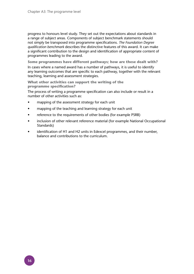progress to honours level study. They set out the expectations about standards in a range of subject areas. Components of subject benchmark statements should not simply be transposed into programme specifications. *The Foundation Degree qualification benchmark* describes the distinctive features of this award. It can make a significant contribution to the design and identification of appropriate content of programmes leading to the award.

**Some programmes have different pathways; how are these dealt with?** In cases where a named award has a number of pathways, it is useful to identify any learning outcomes that are specific to each pathway, together with the relevant teaching, learning and assessment strategies.

**What other activities can support the writing of the programme specification?**

The process of writing a programme specification can also include or result in a number of other activities such as:

- mapping of the assessment strategy for each unit
- mapping of the teaching and learning strategy for each unit
- reference to the requirements of other bodies (for example PSRB)
- inclusion of other relevant reference material (for example National Occupational Standards)
- identification of H1 and H2 units in Edexcel programmes, and their number, balance and contributions to the curriculum.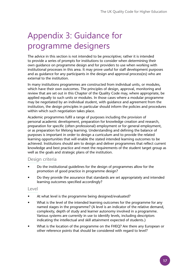# Appendix 3: Guidance for programme designers

The advice in this section is not intended to be prescriptive; rather it is intended to provide a series of prompts for institutions to consider when determining their own guidance on programme design and for providers to use when working with institutional processes in this area. It may prove useful for staff development purposes and as guidance for any participants in the design and approval process(es) who are external to the institution.

In many institutions programmes are constructed from individual units, or modules, which have their own outcomes. The principles of design, approval, monitoring and review that are set out in this Chapter of the Quality Code may, where appropriate, be applied equally to such units or modules. In those cases where a modular programme may be negotiated by an individual student, with guidance and agreement from the institution, the design principles in particular should inform the policies and procedures within which such negotiation takes place.

Academic programmes fulfil a range of purposes including the provision of personal academic development, preparation for knowledge creation and research, preparation for specific (often professional) employment or for general employment, or as preparation for lifelong learning. Understanding and defining the balance of purposes is important in order to design a curriculum and to provide the related learning opportunities that will enable the stated intended learning outcomes to be achieved. Institutions should aim to design and deliver programmes that reflect current knowledge and best practice and meet the requirements of the student target group as well as the goals and strategic plans of the institution.

## Design criteria

- Do the institutional guidelines for the design of programmes allow for the promotion of good practice in programme design?
- Do they provide the assurance that standards are set appropriately and intended learning outcomes specified accordingly?

### Level

- At what level is the programme being designed/evaluated?
- What is the level of the intended learning outcomes for the programme for any named stages in the programme? (A level is an indicator of the relative demand, complexity, depth of study and learner autonomy involved in a programme. Various systems are currently in use to identify levels, including descriptors indicating the intellectual and skill attainment expected of students.)
- What is the location of the programme on the FHEQ? Are there any European or other reference points that should be considered with regard to level?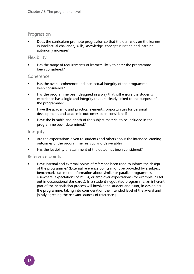### **Progression**

• Does the curriculum promote progression so that the demands on the learner in intellectual challenge, skills, knowledge, conceptualisation and learning autonomy increase?

### **Flexibility**

Has the range of requirements of learners likely to enter the programme been considered?

### Coherence

- Has the overall coherence and intellectual integrity of the programme been considered?
- Has the programme been designed in a way that will ensure the student's experience has a logic and integrity that are clearly linked to the purpose of the programme?
- Have the academic and practical elements, opportunities for personal development, and academic outcomes been considered?
- Have the breadth and depth of the subject material to be included in the programme been determined?

### Integrity

- Are the expectations given to students and others about the intended learning outcomes of the programme realistic and deliverable?
- Has the feasibility of attainment of the outcomes been considered?

### Reference points

Have internal and external points of reference been used to inform the design of the programme? (External reference points might be provided by a subject benchmark statement, information about similar or parallel programmes elsewhere, expectations of PSRBs, or employer expectations (for example, as set out in occupational standards). In a student-negotiated programme, an inherent part of the negotiation process will involve the student and tutor, in designing the programme, taking into consideration the intended level of the award and jointly agreeing the relevant sources of reference.)